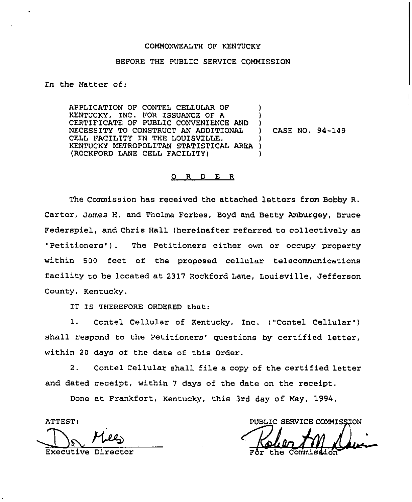### COMMONWEALTH OF KENTUCKY

### BEFORE THE PUBLIC SERVICE COMMISSION

In the Matter of:

APPLICATION OF CONTEL CELLULAR OF KENTUCKY, INC. FOR ISSUANCE OF A CERT1F1CATE OF PUBLIC CONVENIENCE AND NECESSITY TO CONSTRUCT AN ADDITIONAL CELL FACILITY IN THE LOUISVILLE, KENTUCKY METROPOLITAN STATISTICAL AREA ) (RGCKFORD LANE CELL FACILITY) ) ) ) CASE NO. 94-149 ) )

### 0 R <sup>D</sup> E <sup>R</sup>

The Commission has received the attached letters from Bobby R. Carter, James H. and Thelma Forbes, Boyd and Betty Amburgey, Bruce Federspiel, and Chris Hall (hereinafter referred to collectively as "Petitioners" ). The Petitioners either own or occupy property within 500 feet of the proposed cellular telecommunications facility to be located at 2317 Rockford Lane, Louisville, Jefferson County, Kentucky.

IT IS THEREFORE ORDERED that:

1. Contel Cellular of Kentucky, Inc. ("Contel Cellular" ) shall respond to the Petitioners' questions by certified letter, within 20 days of the date of this Order.

2. Contel Cellular shall file a copy of the certified letter and dated receipt, within <sup>7</sup> days of the date on the receipt.

Done at Frankfort, Kentucky, this 3rd day of May, 1994.

ATTEST:

PUBLIC SERVICE COMMISSION Executive Director **For the Commist**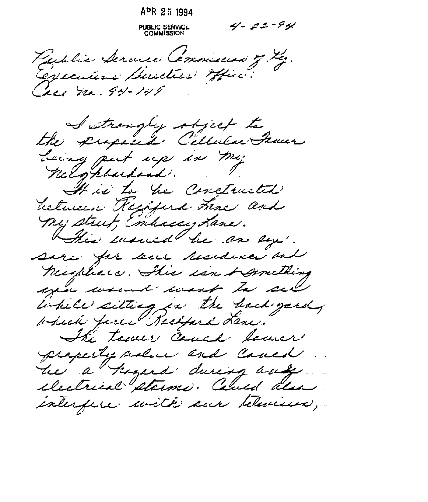APR 25 1994  $4 - 22 - 94$ **PUBLIC SERVIC...**<br>COMMISSION Public Service Commission of the. Cerecutive Sucction office. Cace no. 94-148 Sutroughy object to Leing put up in my It is to be constructed between Regified Three and My strut, Embacay Lane. This moment he are by sera for bur residence and neighbors. This isn & mething year would want to sell While sitting in the hack gard which faces Recepted Lene. The town cauch lower property siden and Could he a kazard during way electrical starme. Caned also interfere with sur television,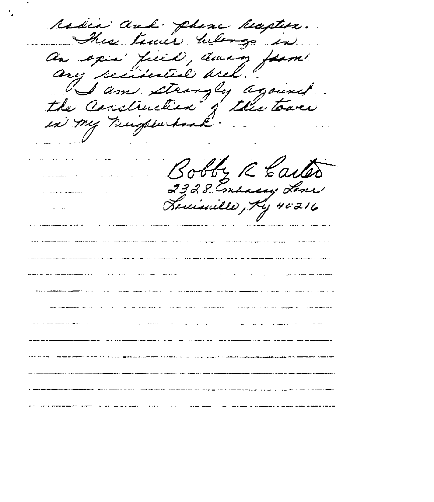radia and phane hapten. L'I<br>tuil<br>Gill tamic werg , apix' field, du<br>ny perisestal bri<br>I am strongle<br>e Construction of I am strongly against the Construction in my number y R Carter Tomarillo, Ky 40216 the common of the common construction and approximately  $\sim$   $\sim$   $\sim$   $\sim$   $\sim$ المعسسوسة المساعا الساعات .<br>منابع المستقل المنابع المنابع المستقل المنابع المنابع المنابع المنابع المنابع المنابع المنابع المنابع المنابع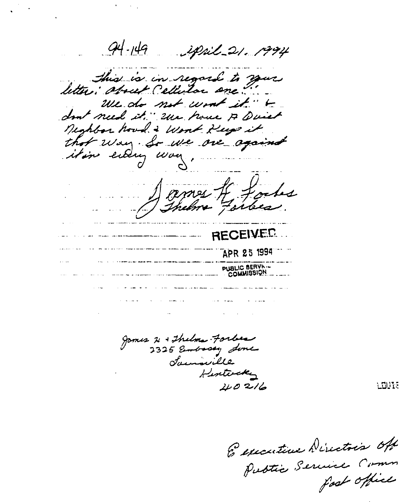94-149 ipril 21. 1994 Shis is in regard to your We do not work it. " to don't need it." Use house A Quiet Nighbor houd & Work Keep it that way. So we are against itim ending way, .... omes If Jocks RECEIVED APR 25 1994 PUBLIC BERVA المتسام المردان

gomes 2 + Thelma Forless Jammille Hintercky  $20216$ 

ENDITE

Especiative Directois Off foot office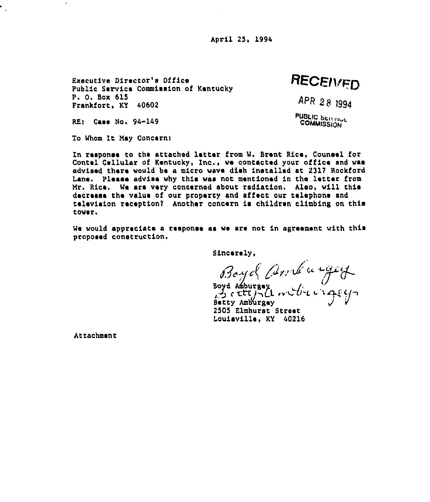April 25, 1994

Executive Director's Office Public Service Commission of Kentucky P. 0, Box 615 Frankfort, KY 40602

RECEIVED

APR 28 1994

PUBLIC SERVICE **COMMISSION** 

RE: Case No. 94-149

 $\ddot{\phantom{a}}$ 

To Whom It May Concern!

In response to the attached letter from W. Eront Rice, Counsel for Contel Cellular of Kentucky, Inc., wa contacted your office and was advised there would bs a micro weve dish installed at 2317 Rockford Lena. Please advise why this was not mentioned in the letter from Mr. Rica. We are very concernod about radiation. Also, will this decrease the value of our property and affect our telephone and television reception? Another concern is children climbing on this tower.

We would appreciate a response as we are not in agreement with this proposed construction.

Sincerely,

Boyel And wege

Boyd Amburgey<br>Betty Amburgey<br>Betty Amburgey 2505 Elmhurst Street Louisville, KY 40216

Attachment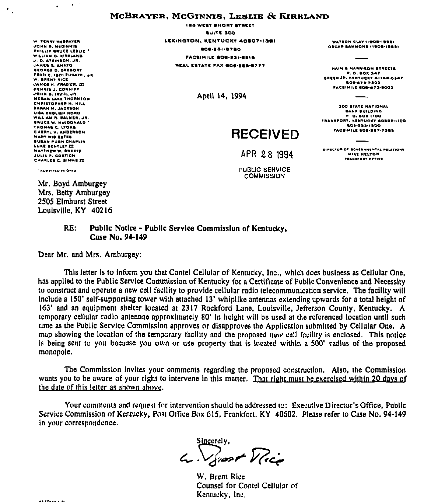### MCBRAYER, MCGINNIS, LESLIE & KIRKLAND

W. TENNY MARRAYER JOHN & MOSINHIS PHILLIP BRUCE LEBLIE WILLIAM D. HIRRLAND J. D. ATRINBON, JR. **UANES & ANATO** GEORGE D. OREGORY FRED E. ISO! FUGAZEI, JR. W. BRENT BICE JAMES H. FRAZIER, ELL DENNIS J. CONNIFF JOHN O. IRVIN, JR. **MEGAN LAKE THORNTON** CHRISTOPHER N. HILL **BARAH M. JACKSON** LISA ENGLISH HORD WILLIAM R. PALMER, JR. **BRUCE W. MASDONALD** THOMAS C. LYONS CHERYL H. ANDERSON **MARY WIR ESTER** BURAN BUGH CHARLIN LURE BENTLEY III **MATTHEW W. BREETE JULIA F. COSTICH** CHARLES C. SIMME ITI

 $\cdot$ 

 $\mathbf{F}_{\mathbf{q}}$ 

**ISS WEST SHORT STREET BUITE 300** LEXINGTON, KENTUCKY 40807-1361 **GOG-331-6780** FACSIMILE GOG-231-6518 REAL ESTATE FAX GOG-255-0777

April 14, 1994

WATEDN CLAY IIDOE-IBBEI OECAR BAHHONS (1808-1888)

**HAIN & HARRISON STREETS P.O. BOX 347 OREENUP, KENTUCKY 41144-0347** 808-473-7303 FACEIMILE EDG-473-9003

300 BTATE HATIONAL BANK BUILDING **P.O. BOX 1100 FRANKFORT, KENTUCKY 40B02-1100** 503-333-1200 **FACEIMILE SOS-387-7388** 

# **RECEIVED**

APR 28 1994

**PUBLIC SERVICE COMMISSION** 

DIRECTOR OF GOVERNMENTAL RELATIONS **MIRE HELTON PRANAFORT OFFICE** 

" ADMITTED IN DHID

Mr. Bovd Amburgev Mrs. Betty Amburgey 2505 Elmhurst Street Louisville, KY 40216

#### Public Notice - Public Service Commission of Kentucky,  $RE:$ Case No. 94-149

Dear Mr. and Mrs. Amburgey:

This letter is to inform you that Contel Cellular of Kentucky, Inc., which does business as Cellular One. has applied to the Public Service Commission of Kentucky for a Certificate of Public Convenience and Necessity to construct and operate a new cell facility to provide cellular radio telecommunication service. The facility will include a 150' self-supporting tower with attached 13' whiplike antennas extending upwards for a total height of 163' and an equipment shelter located at 2317 Rockford Lane, Louisville, Jefferson County, Kentucky. A temporary cellular radio antennae approximately 80' in height will be used at the referenced location until such time as the Public Service Commission approves or disapproves the Application submitted by Cellular One. A map showing the location of the temporary facility and the proposed new cell facility is enclosed. This notice is being sent to you because you own or use property that is located within a 500' radius of the proposed monopole.

The Commission invites your comments regarding the proposed construction. Also, the Commission wants you to be aware of your right to intervene in this matter. That right must be exercised within 20 days of the date of this letter as shown above.

Your comments and request for intervention should be addressed to: Executive Director's Office, Public Service Commission of Kentucky, Post Office Box 615, Frankfort, KY 40602. Please refer to Case No. 94-149 in your correspondence.

L. Vivert Mice

W. Brent Rice Counsel for Contel Cellular of Kentucky, Inc.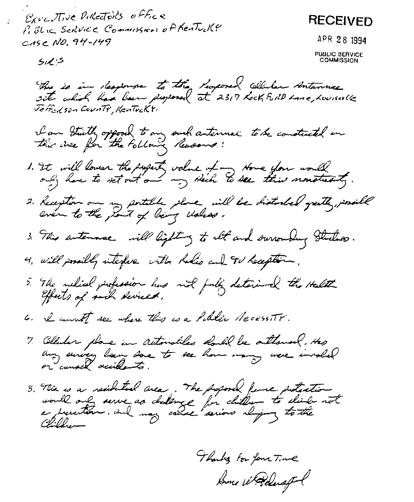Executive Pulctoils office **RECEIVED** P. Blic Scrivice Commission of Kentucky CASC NO, 94-149 APR 28 1994 **PUBLIC SERVICE**<br>COMMISSION  $5.15$ This is in Response to the Proposed Colluler Antannes.<br>site which has been proposed at 2317 Kock For Neme, Louisville I am Stuth opposed to any such autennal to be constructed in 1. It will lower the paperty value of my stone you would 2. Reception on my portable place will be distanced greatly, possible 3. This autennae will light y to all and ourrounding studies. 4. Will possibly interfere with holis and TV haupton. 5. The nelicel profession has not fully deterined the Helth 6. I comment see where this is a Public NecessITT. 7. Collecter place in automobiles double be outlaned. Has<br>any survey been sore to see how many were involved 5, Mix is a residented area. The proposed frame protection

Thanks for four Time Some WRoderspl